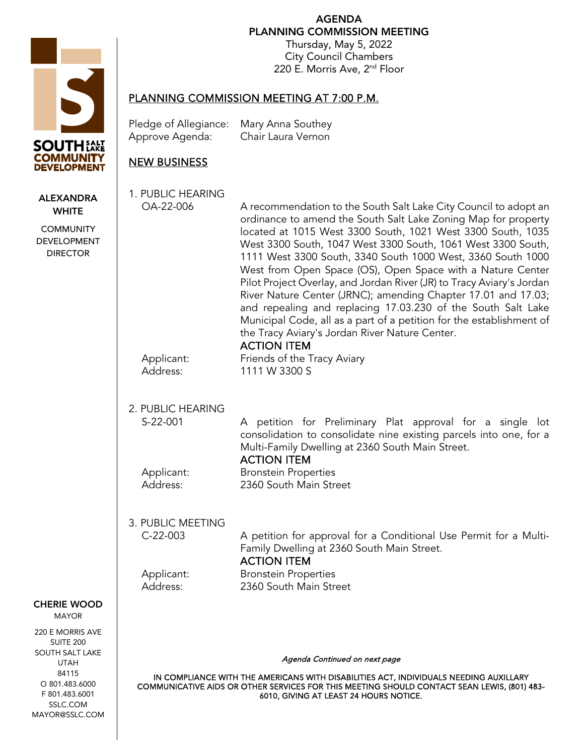AGENDA PLANNING COMMISSION MEETING

Thursday, May 5, 2022 City Council Chambers 220 E. Morris Ave, 2<sup>nd</sup> Floor

# PLANNING COMMISSION MEETING AT 7:00 P.M.

| Pledge of Allegiance: | Mary Anna Southey  |
|-----------------------|--------------------|
| Approve Agenda:       | Chair Laura Vernon |

# NEW BUSINESS

1. PUBLIC HEARING

OA-22-006 A recommendation to the South Salt Lake City Council to adopt an ordinance to amend the South Salt Lake Zoning Map for property located at 1015 West 3300 South, 1021 West 3300 South, 1035 West 3300 South, 1047 West 3300 South, 1061 West 3300 South, 1111 West 3300 South, 3340 South 1000 West, 3360 South 1000 West from Open Space (OS), Open Space with a Nature Center Pilot Project Overlay, and Jordan River (JR) to Tracy Aviary's Jordan River Nature Center (JRNC); amending Chapter 17.01 and 17.03; and repealing and replacing 17.03.230 of the South Salt Lake Municipal Code, all as a part of a petition for the establishment of the Tracy Aviary's Jordan River Nature Center.

# ACTION ITEM

Applicant: Friends of the Tracy Aviary Address: 1111 W 3300 S

# 2. PUBLIC HEARING

S-22-001 A petition for Preliminary Plat approval for a single lot consolidation to consolidate nine existing parcels into one, for a Multi-Family Dwelling at 2360 South Main Street.

## ACTION ITEM

Applicant: Bronstein Properties Address: 2360 South Main Street

3. PUBLIC MEETING C-22-003 A petition for approval for a Conditional Use Permit for a Multi-Family Dwelling at 2360 South Main Street. ACTION ITEM Applicant: Bronstein Properties

Address: 2360 South Main Street

#### CHERIE WOOD MAYOR

220 E MORRIS AVE SUITE 200 SOUTH SALT LAKE UTAH 84115 O 801.483.6000 F 801.483.6001 SSLC.COM MAYOR@SSLC.COM

Agenda Continued on next page

IN COMPLIANCE WITH THE AMERICANS WITH DISABILITIES ACT, INDIVIDUALS NEEDING AUXILLARY COMMUNICATIVE AIDS OR OTHER SERVICES FOR THIS MEETING SHOULD CONTACT SEAN LEWIS, (801) 483- 6010, GIVING AT LEAST 24 HOURS NOTICE.



ALEXANDRA **WHITE COMMUNITY** DEVELOPMENT DIRECTOR